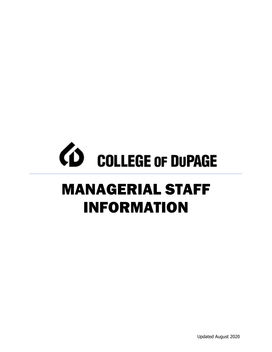# *CD* COLLEGE OF DUPAGE

# MANAGERIAL STAFF INFORMATION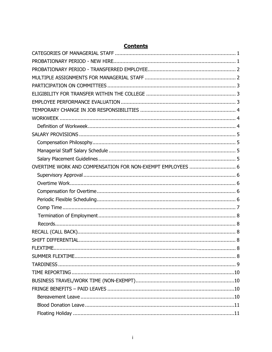| OVERTIME WORK AND COMPENSATION FOR NON-EXEMPT EMPLOYEES  6 |
|------------------------------------------------------------|
|                                                            |
|                                                            |
|                                                            |
|                                                            |
|                                                            |
|                                                            |
|                                                            |
|                                                            |
|                                                            |
|                                                            |
|                                                            |
|                                                            |
|                                                            |
|                                                            |
|                                                            |
|                                                            |
|                                                            |
|                                                            |

# **Contents**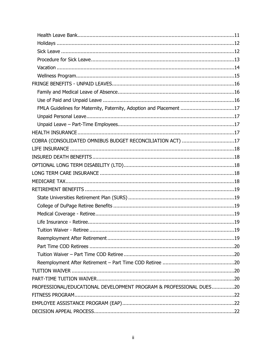| FMLA Guidelines for Maternity, Paternity, Adoption and Placement 17 |  |
|---------------------------------------------------------------------|--|
|                                                                     |  |
|                                                                     |  |
|                                                                     |  |
| COBRA (CONSOLIDATED OMNIBUS BUDGET RECONCILIATION ACT) 17           |  |
|                                                                     |  |
|                                                                     |  |
|                                                                     |  |
|                                                                     |  |
|                                                                     |  |
|                                                                     |  |
|                                                                     |  |
|                                                                     |  |
|                                                                     |  |
|                                                                     |  |
| Tuition Waiver - Retiree.                                           |  |
|                                                                     |  |
|                                                                     |  |
|                                                                     |  |
|                                                                     |  |
|                                                                     |  |
|                                                                     |  |
| PROFESSIONAL/EDUCATIONAL DEVELOPMENT PROGRAM & PROFESSIONAL DUES20  |  |
|                                                                     |  |
|                                                                     |  |
|                                                                     |  |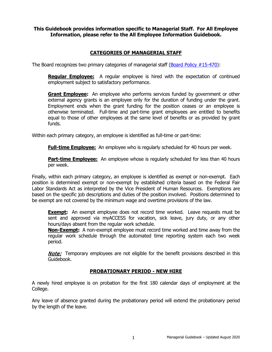# **This Guidebook provides information specific to Managerial Staff. For All Employee Information, please refer to the All Employee Information Guidebook.**

# **CATEGORIES OF MANAGERIAL STAFF**

<span id="page-4-0"></span>The Board recognizes two primary categories of managerial staff [\(Board Policy #15-470\)](http://www.cod.edu/about/board_of_trustees/pdf/board_policies.pdf):

**Regular Employee:** A regular employee is hired with the expectation of continued employment subject to satisfactory performance.

**Grant Employee:** An employee who performs services funded by government or other external agency grants is an employee only for the duration of funding under the grant. Employment ends when the grant funding for the position ceases or an employee is otherwise terminated. Full-time and part-time grant employees are entitled to benefits equal to those of other employees at the same level of benefits or as provided by grant funds.

Within each primary category, an employee is identified as full-time or part-time:

**Full-time Employee:** An employee who is regularly scheduled for 40 hours per week.

**Part-time Employee:** An employee whose is regularly scheduled for less than 40 hours per week.

Finally, within each primary category, an employee is identified as exempt or non-exempt. Each position is determined exempt or non-exempt by established criteria based on the Federal Fair Labor Standards Act as interpreted by the Vice President of Human Resources. Exemptions are based on the specific job descriptions and duties of the position involved. Positions determined to be exempt are not covered by the minimum wage and overtime provisions of the law.

**Exempt:** An exempt employee does not record time worked. Leave requests must be sent and approved via myACCESS for vacation, sick leave, jury duty, or any other hours/days absent from the regular work schedule.

**Non-Exempt:** A non-exempt employee must record time worked and time away from the regular work schedule through the automated time reporting system each two week period.

**Note:** Temporary employees are not eligible for the benefit provisions described in this Guidebook.

# **PROBATIONARY PERIOD - NEW HIRE**

<span id="page-4-1"></span>A newly hired employee is on probation for the first 180 calendar days of employment at the College.

Any leave of absence granted during the probationary period will extend the probationary period by the length of the leave.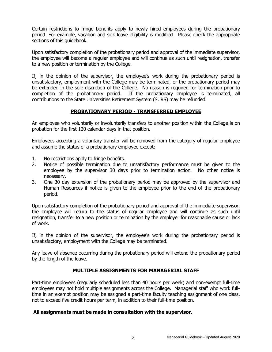Certain restrictions to fringe benefits apply to newly hired employees during the probationary period. For example, vacation and sick leave eligibility is modified. Please check the appropriate sections of this guidebook.

Upon satisfactory completion of the probationary period and approval of the immediate supervisor, the employee will become a regular employee and will continue as such until resignation, transfer to a new position or termination by the College.

If, in the opinion of the supervisor, the employee's work during the probationary period is unsatisfactory, employment with the College may be terminated, or the probationary period may be extended in the sole discretion of the College. No reason is required for termination prior to completion of the probationary period. If the probationary employee is terminated, all contributions to the State Universities Retirement System (SURS) may be refunded.

# **PROBATIONARY PERIOD - TRANSFERRED EMPLOYEE**

<span id="page-5-0"></span>An employee who voluntarily or involuntarily transfers to another position within the College is on probation for the first 120 calendar days in that position.

Employees accepting a voluntary transfer will be removed from the category of regular employee and assume the status of a probationary employee except:

- 1. No restrictions apply to fringe benefits.<br>2. Notice of possible termination due to
- Notice of possible termination due to unsatisfactory performance must be given to the employee by the supervisor 30 days prior to termination action. No other notice is necessary.
- 3. One 30 day extension of the probationary period may be approved by the supervisor and Human Resources if notice is given to the employee prior to the end of the probationary period.

Upon satisfactory completion of the probationary period and approval of the immediate supervisor, the employee will return to the status of regular employee and will continue as such until resignation, transfer to a new position or termination by the employer for reasonable cause or lack of work.

If, in the opinion of the supervisor, the employee's work during the probationary period is unsatisfactory, employment with the College may be terminated.

Any leave of absence occurring during the probationary period will extend the probationary period by the length of the leave.

# **MULTIPLE ASSIGNMENTS FOR MANAGERIAL STAFF**

<span id="page-5-1"></span>Part-time employees (regularly scheduled less than 40 hours per week) and non-exempt full-time employees may not hold multiple assignments across the College. Managerial staff who work fulltime in an exempt position may be assigned a part-time faculty teaching assignment of one class, not to exceed five credit hours per term, in addition to their full-time position.

# **All assignments must be made in consultation with the supervisor.**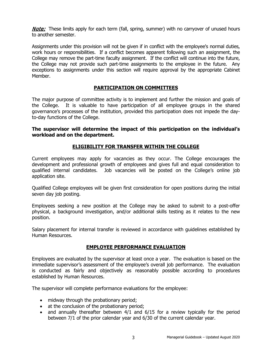**Note:** These limits apply for each term (fall, spring, summer) with no carryover of unused hours to another semester.

Assignments under this provision will not be given if in conflict with the employee's normal duties, work hours or responsibilities. If a conflict becomes apparent following such an assignment, the College may remove the part-time faculty assignment. If the conflict will continue into the future, the College may not provide such part-time assignments to the employee in the future. Any exceptions to assignments under this section will require approval by the appropriate Cabinet Member.

# **PARTICIPATION ON COMMITTEES**

<span id="page-6-0"></span>The major purpose of committee activity is to implement and further the mission and goals of the College. It is valuable to have participation of all employee groups in the shared governance's processes of the institution, provided this participation does not impede the dayto-day functions of the College.

#### **The supervisor will determine the impact of this participation on the individual's workload and on the department.**

# **ELIGIBILITY FOR TRANSFER WITHIN THE COLLEGE**

<span id="page-6-1"></span>Current employees may apply for vacancies as they occur. The College encourages the development and professional growth of employees and gives full and equal consideration to qualified internal candidates. Job vacancies will be posted on the College's online job application site.

Qualified College employees will be given first consideration for open positions during the initial seven day job posting.

Employees seeking a new position at the College may be asked to submit to a post-offer physical, a background investigation, and/or additional skills testing as it relates to the new position.

Salary placement for internal transfer is reviewed in accordance with guidelines established by Human Resources.

# **EMPLOYEE PERFORMANCE EVALUATION**

<span id="page-6-2"></span>Employees are evaluated by the supervisor at least once a year. The evaluation is based on the immediate supervisor's assessment of the employee's overall job performance. The evaluation is conducted as fairly and objectively as reasonably possible according to procedures established by Human Resources.

The supervisor will complete performance evaluations for the employee:

- midway through the probationary period;
- at the conclusion of the probationary period;
- and annually thereafter between 4/1 and 6/15 for a review typically for the period between 7/1 of the prior calendar year and 6/30 of the current calendar year.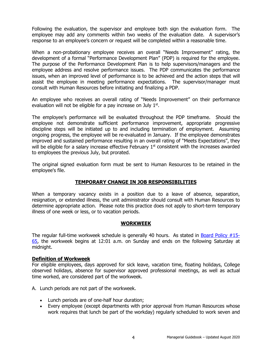Following the evaluation, the supervisor and employee both sign the evaluation form. The employee may add any comments within two weeks of the evaluation date. A supervisor's response to an employee's concern or request will be completed within a reasonable time.

When a non-probationary employee receives an overall "Needs Improvement" rating, the development of a formal "Performance Development Plan" (PDP) is required for the employee. The purpose of the Performance Development Plan is to help supervisors/managers and the employee address and resolve performance issues. The PDP communicates the performance issues, when an improved level of performance is to be achieved and the action steps that will assist the employee in meeting performance expectations. The supervisor/manager must consult with Human Resources before initiating and finalizing a PDP.

An employee who receives an overall rating of "Needs Improvement" on their performance evaluation will not be eligible for a pay increase on July 1<sup>st</sup>.

The employee's performance will be evaluated throughout the PDP timeframe. Should the employee not demonstrate sufficient performance improvement, appropriate progressive discipline steps will be initiated up to and including termination of employment. Assuming ongoing progress, the employee will be re-evaluated in January. If the employee demonstrates improved and sustained performance resulting in an overall rating of "Meets Expectations", they will be eligible for a salary increase effective February 1<sup>st</sup> consistent with the increases awarded to employees the previous July, but prorated.

The original signed evaluation form must be sent to Human Resources to be retained in the employee's file.

# **TEMPORARY CHANGE IN JOB RESPONSIBILITIES**

<span id="page-7-0"></span>When a temporary vacancy exists in a position due to a leave of absence, separation, resignation, or extended illness, the unit administrator should consult with Human Resources to determine appropriate action. Please note this practice does not apply to short-term temporary illness of one week or less, or to vacation periods.

# **WORKWEEK**

<span id="page-7-1"></span>The regular full-time workweek schedule is generally 40 hours. As stated in [Board Policy #15-](http://www.cod.edu/about/board_of_trustees/pdf/board_policies.pdf) [65,](http://www.cod.edu/about/board_of_trustees/pdf/board_policies.pdf) the workweek begins at 12:01 a.m. on Sunday and ends on the following Saturday at midnight.

# <span id="page-7-2"></span>**Definition of Workweek**

For eligible employees, days approved for sick leave, vacation time, floating holidays, College observed holidays, absence for supervisor approved professional meetings, as well as actual time worked, are considered part of the workweek.

A. Lunch periods are not part of the workweek.

- Lunch periods are of one-half hour duration;
- Every employee (except departments with prior approval from Human Resources whose work requires that lunch be part of the workday) regularly scheduled to work seven and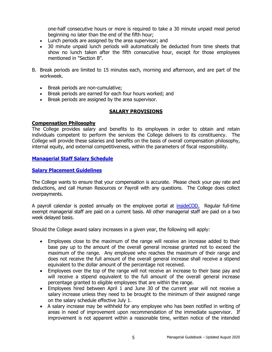one-half consecutive hours or more is required to take a 30 minute unpaid meal period beginning no later than the end of the fifth hour;

- Lunch periods are assigned by the area supervisor; and
- 30 minute unpaid lunch periods will automatically be deducted from time sheets that show no lunch taken after the fifth consecutive hour, except for those employees mentioned in "Section B".
- B. Break periods are limited to 15 minutes each, morning and afternoon, and are part of the workweek.
	- Break periods are non-cumulative;
	- Break periods are earned for each four hours worked; and
	- Break periods are assigned by the area supervisor.

# **SALARY PROVISIONS**

#### <span id="page-8-1"></span><span id="page-8-0"></span>**Compensation Philosophy**

The College provides salary and benefits to its employees in order to obtain and retain individuals competent to perform the services the College delivers to its constituency. The College will provide these salaries and benefits on the basis of overall compensation philosophy, internal equity, and external competitiveness, within the parameters of fiscal responsibility.

# <span id="page-8-2"></span>**[Managerial Staff Salary Schedule](http://www.cod.edu/about/humanresources/pdf/managerial-salary-schedule.pdf)**

# <span id="page-8-3"></span>**[Salary Placement Guidelines](http://www.cod.edu/about/humanresources/pdf/salary_placement.pdf)**

The College wants to ensure that your compensation is accurate. Please check your pay rate and deductions, and call Human Resources or Payroll with any questions. The College does collect overpayments.

A payroll calendar is posted annually on the employee portal at [insideCOD.](https://inside.cod.edu/) Regular full-time exempt managerial staff are paid on a current basis. All other managerial staff are paid on a two week delayed basis.

Should the College award salary increases in a given year, the following will apply:

- Employees close to the maximum of the range will receive an increase added to their base pay up to the amount of the overall general increase granted not to exceed the maximum of the range. Any employee who reaches the maximum of their range and does not receive the full amount of the overall general increase shall receive a stipend equivalent to the dollar amount of the percentage not received.
- Employees over the top of the range will not receive an increase to their base pay and will receive a stipend equivalent to the full amount of the overall general increase percentage granted to eligible employees that are within the range.
- Employees hired between April 1 and June 30 of the current year will not receive a salary increase unless they need to be brought to the minimum of their assigned range on the salary schedule effective July 1.
- A salary increase may be withheld for any employee who has been notified in writing of areas in need of improvement upon recommendation of the immediate supervisor. If improvement is not apparent within a reasonable time, written notice of the intended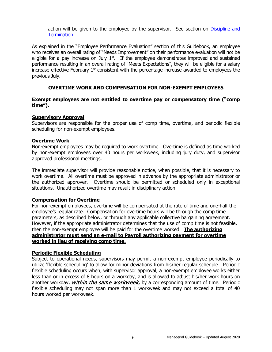action will be given to the employee by the supervisor. See section on [Discipline and](#page-27-5)  [Termination.](#page-27-5)

As explained in the "Employee Performance Evaluation" section of this Guidebook, an employee who receives an overall rating of "Needs Improvement" on their performance evaluation will not be eligible for a pay increase on July  $1<sup>st</sup>$ . If the employee demonstrates improved and sustained performance resulting in an overall rating of "Meets Expectations", they will be eligible for a salary increase effective February  $1<sup>st</sup>$  consistent with the percentage increase awarded to employees the previous July.

# **OVERTIME WORK AND COMPENSATION FOR NON-EXEMPT EMPLOYEES**

#### <span id="page-9-0"></span>**Exempt employees are not entitled to overtime pay or compensatory time ("comp time").**

#### <span id="page-9-1"></span>**Supervisory Approval**

Supervisors are responsible for the proper use of comp time, overtime, and periodic flexible scheduling for non-exempt employees.

#### <span id="page-9-2"></span>**Overtime Work**

Non-exempt employees may be required to work overtime. Overtime is defined as time worked by non-exempt employees over 40 hours per workweek, including jury duty, and supervisor approved professional meetings.

The immediate supervisor will provide reasonable notice, when possible, that it is necessary to work overtime. All overtime must be approved in advance by the appropriate administrator or the authorized approver. Overtime should be permitted or scheduled only in exceptional situations. Unauthorized overtime may result in disciplinary action.

# <span id="page-9-3"></span>**Compensation for Overtime**

For non-exempt employees, overtime will be compensated at the rate of time and one-half the employee's regular rate. Compensation for overtime hours will be through the comp time parameters, as described below, or through any applicable collective bargaining agreement. However, if the appropriate administrator determines that the use of comp time is not feasible, then the non-exempt employee will be paid for the overtime worked. **The authorizing administrator must send an e-mail to Payroll authorizing payment for overtime worked in lieu of receiving comp time.**

#### <span id="page-9-4"></span>**Periodic Flexible Scheduling**

Subject to operational needs, supervisors may permit a non-exempt employee periodically to utilize 'flexible scheduling' to allow for minor deviations from his/her regular schedule. Periodic flexible scheduling occurs when, with supervisor approval, a non-exempt employee works either less than or in excess of 8 hours on a workday, and is allowed to adjust his/her work hours on another workday, within the same workweek, by a corresponding amount of time. Periodic flexible scheduling may not span more than 1 workweek and may not exceed a total of 40 hours worked per workweek.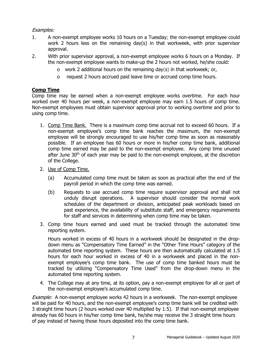# Examples:

- 1. A non-exempt employee works 10 hours on a Tuesday; the non-exempt employee could work 2 hours less on the remaining day(s) in that workweek, with prior supervisor approval.
- 2. With prior supervisor approval, a non-exempt employee works 6 hours on a Monday. If the non-exempt employee wants to make-up the 2 hours not worked, he/she could:
	- o work 2 additional hours on the remaining day(s) in that workweek; or,
	- o request 2 hours accrued paid leave time or accrued comp time hours.

# <span id="page-10-0"></span>**Comp Time**

Comp time may be earned when a non-exempt employee works overtime. For each hour worked over 40 hours per week, a non-exempt employee may earn 1.5 hours of comp time. Non-exempt employees must obtain supervisor approval prior to working overtime and prior to using comp time.

- 1. Comp Time Bank. There is a maximum comp time accrual not to exceed 60 hours. If a non-exempt employee's comp time bank reaches the maximum, the non-exempt employee will be strongly encouraged to use his/her comp time as soon as reasonably possible. If an employee has 60 hours or more in his/her comp time bank, additional comp time earned may be paid to the non-exempt employee. Any comp time unused after June  $30<sup>th</sup>$  of each year may be paid to the non-exempt employee, at the discretion of the College.
- 2. Use of Comp Time.
	- (a) Accumulated comp time must be taken as soon as practical after the end of the payroll period in which the comp time was earned.
	- (b) Requests to use accrued comp time require supervisor approval and shall not unduly disrupt operations. A supervisor should consider the normal work schedules of the department or division, anticipated peak workloads based on past experience, the availability of substitute staff, and emergency requirements for staff and services in determining when comp time may be taken.
- 3. Comp time hours earned and used must be tracked through the automated time reporting system.

Hours worked in excess of 40 hours in a workweek should be designated in the dropdown menu as "Compensatory Time Earned" in the "Other Time Hours" category of the automated time reporting system. These hours are then automatically calculated at 1.5 hours for each hour worked in excess of 40 in a workweek and placed in the nonexempt employee's comp time bank. The use of comp time banked hours must be tracked by utilizing "Compensatory Time Used" from the drop-down menu in the automated time reporting system.

4. The College may at any time, at its option, pay a non-exempt employee for all or part of the non-exempt employee's accumulated comp time.

**Example:** A non-exempt employee works 42 hours in a workweek. The non-exempt employee will be paid for 40 hours, and the non-exempt employee's comp time bank will be credited with 3 straight time hours (2 hours worked over 40 multiplied by 1.5). If that non-exempt employee already has 60 hours in his/her comp time bank, he/she may receive the 3 straight time hours of pay instead of having those hours deposited into the comp time bank.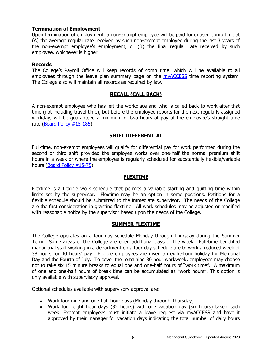# <span id="page-11-0"></span>**Termination of Employment**

Upon termination of employment, a non-exempt employee will be paid for unused comp time at (A) the average regular rate received by such non-exempt employee during the last 3 years of the non-exempt employee's employment, or (B) the final regular rate received by such employee, whichever is higher.

# <span id="page-11-1"></span>**Records**

The College's Payroll Office will keep records of comp time, which will be available to all employees through the leave plan summary page on the [myACCESS](http://myaccess.cod.edu/) time reporting system. The College also will maintain all records as required by law.

# **RECALL (CALL BACK)**

<span id="page-11-2"></span>A non-exempt employee who has left the workplace and who is called back to work after that time (not including travel time), but before the employee reports for the next regularly assigned workday, will be guaranteed a minimum of two hours of pay at the employee's straight time rate [\(Board Policy #15-185\)](http://www.cod.edu/about/board_of_trustees/pdf/board_policies.pdf).

# **SHIFT DIFFERENTIAL**

<span id="page-11-3"></span>Full-time, non-exempt employees will qualify for differential pay for work performed during the second or third shift provided the employee works over one-half the normal premium shift hours in a week or where the employee is regularly scheduled for substantially flexible/variable hours [\(Board Policy #15-75\)](http://www.cod.edu/about/board_of_trustees/pdf/board_policies.pdf).

# **FLEXTIME**

<span id="page-11-4"></span>Flextime is a flexible work schedule that permits a variable starting and quitting time within limits set by the supervisor. Flextime may be an option in some positions. Petitions for a flexible schedule should be submitted to the immediate supervisor. The needs of the College are the first consideration in granting flextime. All work schedules may be adjusted or modified with reasonable notice by the supervisor based upon the needs of the College.

# **SUMMER FLEXTIME**

<span id="page-11-5"></span>The College operates on a four day schedule Monday through Thursday during the Summer Term. Some areas of the College are open additional days of the week. Full-time benefited managerial staff working in a department on a four day schedule are to work a reduced week of 38 hours for 40 hours' pay. Eligible employees are given an eight-hour holiday for Memorial Day and the Fourth of July. To cover the remaining 30 hour workweek, employees may choose not to take six 15 minute breaks to equal one and one-half hours of "work time". A maximum of one and one-half hours of break time can be accumulated as "work hours". This option is only available with supervisory approval.

Optional schedules available with supervisory approval are:

- Work four nine and one-half hour days (Monday through Thursday).
- Work four eight hour days (32 hours) with one vacation day (six hours) taken each week. Exempt employees must initiate a leave request via myACCESS and have it approved by their manager for vacation days indicating the total number of daily hours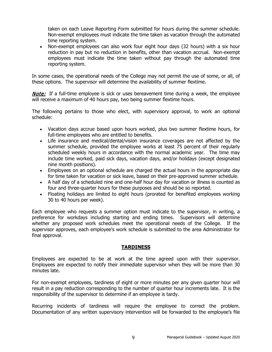taken on each Leave Reporting Form submitted for hours during the summer schedule. Non-exempt employees must indicate the time taken as vacation through the automated time reporting system.

• Non-exempt employees can also work four eight hour days (32 hours) with a six hour reduction in pay but no reduction in benefits, other than vacation accrual. Non-exempt employees must indicate the time taken without pay through the automated time reporting system.

In some cases, the operational needs of the College may not permit the use of some, or all, of these options. The supervisor will determine the availability of summer flextime.

**Note:** If a full-time employee is sick or uses bereavement time during a week, the employee will receive a maximum of 40 hours pay, two being summer flextime hours.

The following pertains to those who elect, with supervisory approval, to work an optional schedule:

- Vacation days accrue based upon hours worked, plus two summer flextime hours, for full-time employees who are entitled to benefits.
- Life insurance and medical/dental/vision insurance coverages are not affected by the summer schedule, provided the employee works at least 75 percent of their regularly scheduled weekly hours in accordance with the normal academic year. The time may include time worked, paid sick days, vacation days, and/or holidays (except designated nine month positions).
- Employees on an optional schedule are charged the actual hours in the appropriate day for time taken for vacation or sick leave, based on their pre-approved summer schedule.
- A half day of a scheduled nine and one-half hour day for vacation or illness is counted as four and three-quarter hours for these purposes and should be so reported.
- Floating holidays are limited to eight hours (prorated for benefited employees working 30 to 40 hours per week).

Each employee who requests a summer option must indicate to the supervisor, in writing, a preference for workdays including starting and ending times. Supervisors will determine whether any proposed work schedules meet the operational needs of the College. If the supervisor approves, each employee's work schedule is submitted to the area Administrator for final approval.

# **TARDINESS**

<span id="page-12-0"></span>Employees are expected to be at work at the time agreed upon with their supervisor. Employees are expected to notify their immediate supervisor when they will be more than 30 minutes late.

For non-exempt employees, tardiness of eight or more minutes per any given quarter hour will result in a pay reduction corresponding to the number of quarter hour increments late. It is the responsibility of the supervisor to determine if an employee is tardy.

Recurring incidents of tardiness will require the employee to correct the problem. Documentation of any written supervisory intervention will be forwarded to the employee's file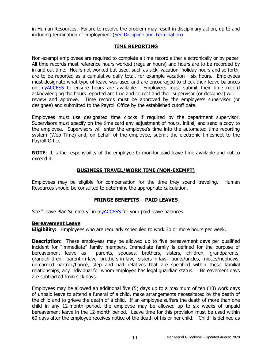in Human Resources. Failure to resolve the problem may result in disciplinary action, up to and including termination of employment [\(See Discipline and Termination\)](#page-27-2).

# **TIME REPORTING**

<span id="page-13-0"></span>Non-exempt employees are required to complete a time record either electronically or by paper. All time records must reference hours worked (regular hours) and hours are to be recorded by in and out time. Hours not worked but used, such as sick, vacation, holiday hours and so forth, are to be reported as a cumulative daily total, for example vacation - six hours. Employees must designate what type of leave was used and are encouraged to check their leave balances on [myACCESS](http://myaccess.cod.edu/) to ensure hours are available. Employees must submit their time record acknowledging the hours reported are true and correct and their supervisor (or designee) will review and approve. Time records must be approved by the employee's supervisor (or designee) and submitted to the Payroll Office by the established cutoff date.

Employees must use designated time clocks if required by the department supervisor. Supervisors must specify on the time card any adjustment of hours, initial, and send a copy to the employee. Supervisors will enter the employee's time into the automated time reporting system (Web Time) and, on behalf of the employee, submit the electronic timesheet to the Payroll Office.

**NOTE:** It is the responsibility of the employee to monitor paid leave time available and not to exceed it.

# **BUSINESS TRAVEL/WORK TIME (NON-EXEMPT)**

<span id="page-13-1"></span>Employees may be eligible for compensation for the time they spend traveling. Human Resources should be consulted to determine the appropriate calculation.

# **FRINGE BENEFITS – PAID LEAVES**

<span id="page-13-2"></span>See "Leave Plan Summary" in *myACCESS* for your paid leave balances.

#### <span id="page-13-3"></span>**Bereavement Leave**

**Eligibility:** Employees who are regularly scheduled to work 30 or more hours per week.

**Description:** These employees may be allowed up to five bereavement days per qualified incident for "immediate" family members. Immediate family is defined for the purpose of bereavement leave as parents, spouses, brothers, sisters, children, grandparents, grandchildren, parent-in-law, brothers-in-law, sisters-in-law, aunts/uncles, nieces/nephews, unmarried partner/fiancé, step and half relatives that are specified within these familial relationships, any individual for whom employee has legal guardian status. Bereavement days are subtracted from sick days.

Employees may be allowed an additional five (5) days up to a maximum of ten (10) work days of unpaid leave to attend a funeral of a child, make arrangements necessitated by the death of the child and to grieve the death of a child. If an employee suffers the death of more than one child in any 12-month period, the employee may be allowed up to six weeks of unpaid bereavement leave in the 12-month period. Leave time for this provision must be used within 60 days after the employee receives notice of the death of his or her child. "Child" is defined as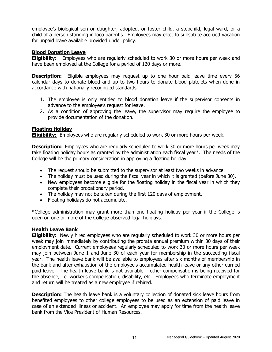employee's biological son or daughter, adopted, or foster child, a stepchild, legal ward, or a child of a person standing in loco parentis. Employees may elect to substitute accrued vacation for unpaid leave available provided under policy.

# <span id="page-14-0"></span>**Blood Donation Leave**

**Eligibility:** Employees who are regularly scheduled to work 30 or more hours per week and have been employed at the College for a period of 120 days or more.

**Description:** Eligible employees may request up to one hour paid leave time every 56 calendar days to donate blood and up to two hours to donate blood platelets when done in accordance with nationally recognized standards.

- 1. The employee is only entitled to blood donation leave if the supervisor consents in advance to the employee's request for leave.
- 2. As a condition of approving the leave, the supervisor may require the employee to provide documentation of the donation.

# <span id="page-14-1"></span>**Floating Holiday**

**Eligibility:** Employees who are regularly scheduled to work 30 or more hours per week.

**Description:** Employees who are regularly scheduled to work 30 or more hours per week may take floating holiday hours as granted by the administration each fiscal year\*. The needs of the College will be the primary consideration in approving a floating holiday.

- The request should be submitted to the supervisor at least two weeks in advance.
- The holiday must be used during the fiscal year in which it is granted (before June 30).
- New employees become eligible for the floating holiday in the fiscal year in which they complete their probationary period.
- The holiday may not be taken during the first 120 days of employment.
- Floating holidays do not accumulate.

\*College administration may grant more than one floating holiday per year if the College is open on one or more of the College observed legal holidays.

# <span id="page-14-2"></span>**Health Leave Bank**

**Eligibility:** Newly hired employees who are regularly scheduled to work 30 or more hours per week may join immediately by contributing the prorata annual premium within 30 days of their employment date. Current employees regularly scheduled to work 30 or more hours per week may join between June 1 and June 30 of each year for membership in the succeeding fiscal year. The health leave bank will be available to employees after six months of membership in the bank and after exhaustion of the employee's accumulated health leave or any other earned paid leave. The health leave bank is not available if other compensation is being received for the absence, i.e. worker's compensation, disability, etc. Employees who terminate employment and return will be treated as a new employee if rehired.

**Description:** The health leave bank is a voluntary collection of donated sick leave hours from benefited employees to other college employees to be used as an extension of paid leave in case of an extended illness or accident. An employee may apply for time from the health leave bank from the Vice President of Human Resources.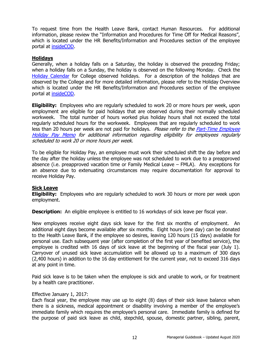To request time from the Health Leave Bank, contact Human Resources. For additional information, please review the "Information and Procedures for Time Off for Medical Reasons", which is located under the HR Benefits/Information and Procedures section of the employee portal at [insideCOD.](https://inside.cod.edu/)

# <span id="page-15-0"></span>**Holidays**

Generally, when a holiday falls on a Saturday, the holiday is observed the preceding Friday; when a holiday falls on a Sunday, the holiday is observed on the following Monday. Check the [Holiday Calendar](https://inside.cod.edu/employees/Pages/default.aspx) for College observed holidays. For a description of the holidays that are observed by the College and for more detailed information, please refer to the Holiday Overview which is located under the HR Benefits/Information and Procedures section of the employee portal at [insideCOD.](https://inside.cod.edu/)

**Eligibility:** Employees who are regularly scheduled to work 20 or more hours per week, upon employment are eligible for paid holidays that are observed during their normally scheduled workweek. The total number of hours worked plus holiday hours shall not exceed the total regularly scheduled hours for the workweek. Employees that are regularly scheduled to work less than 20 hours per week are not paid for holidays. Please refer to the Part-Time Employee [Holiday Pay Memo](http://www.cod.edu/about/humanresources/pdf/holiday_pay_part_time_employees.pdf) for additional information regarding eligibility for employees regularly scheduled to work 20 or more hours per week.

To be eligible for Holiday Pay, an employee must work their scheduled shift the day before and the day after the holiday unless the employee was not scheduled to work due to a preapproved absence (i.e. preapproved vacation time or Family Medical Leave – FMLA). Any exceptions for an absence due to extenuating circumstances may require documentation for approval to receive Holiday Pay.

# <span id="page-15-1"></span>**Sick Leave**

**Eligibility:** Employees who are regularly scheduled to work 30 hours or more per week upon employment.

**Description:** An eligible employee is entitled to 16 workdays of sick leave per fiscal year.

New employees receive eight days sick leave for the first six months of employment. An additional eight days become available after six months. Eight hours (one day) can be donated to the Health Leave Bank, if the employee so desires, leaving 120 hours (15 days) available for personal use. Each subsequent year (after completion of the first year of benefited service), the employee is credited with 16 days of sick leave at the beginning of the fiscal year (July 1). Carryover of unused sick leave accumulation will be allowed up to a maximum of 300 days (2,400 hours) in addition to the 16 day entitlement for the current year, not to exceed 316 days at any point in time.

Paid sick leave is to be taken when the employee is sick and unable to work, or for treatment by a health care practitioner.

#### Effective January 1, 2017:

Each fiscal year, the employee may use up to eight (8) days of their sick leave balance when there is a sickness, medical appointment or disability involving a member of the employee's immediate family which requires the employee's personal care. Immediate family is defined for the purpose of paid sick leave as child, stepchild, spouse, domestic partner, sibling, parent,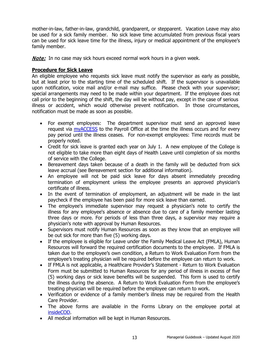mother-in-law, father-in-law, grandchild, grandparent, or stepparent. Vacation Leave may also be used for a sick family member. No sick leave time accumulated from previous fiscal years can be used for sick leave time for the illness, injury or medical appointment of the employee's family member.

**Note:** In no case may sick hours exceed normal work hours in a given week.

# <span id="page-16-0"></span>**Procedure for Sick Leave**

An eligible employee who requests sick leave must notify the supervisor as early as possible, but at least prior to the starting time of the scheduled shift. If the supervisor is unavailable upon notification, voice mail and/or e-mail may suffice. Please check with your supervisor; special arrangements may need to be made within your department. If the employee does not call prior to the beginning of the shift, the day will be without pay, except in the case of serious illness or accident, which would otherwise prevent notification. In those circumstances, notification must be made as soon as possible.

- For exempt employees: The department supervisor must send an approved leave request via **myACCESS** to the Payroll Office at the time the illness occurs and for every pay period until the illness ceases. For non-exempt employees: Time records must be properly noted.
- Credit for sick leave is granted each year on July 1. A new employee of the College is not eligible to take more than eight days of Health Leave until completion of six months of service with the College.
- Bereavement days taken because of a death in the family will be deducted from sick leave accrual (see Bereavement section for additional information).
- An employee will not be paid sick leave for days absent immediately preceding termination of employment unless the employee presents an approved physician's certificate of illness.
- In the event of termination of employment, an adjustment will be made in the last paycheck if the employee has been paid for more sick leave than earned.
- The employee's immediate supervisor may request a physician's note to certify the illness for any employee's absence or absence due to care of a family member lasting three days or more. For periods of less than three days, a supervisor may require a physician's note with approval by Human Resources.
- Supervisors must notify Human Resources as soon as they know that an employee will be out sick for more than five (5) working days.
- If the employee is eligible for Leave under the Family Medical Leave Act (FMLA), Human Resources will forward the required certification documents to the employee. If FMLA is taken due to the employee's own condition, a Return to Work Evaluation Form from the employee's treating physician will be required before the employee can return to work.
- If FMLA is not applicable, a Healthcare Provider's Statement Return to Work Evaluation Form must be submitted to Human Resources for any period of illness in excess of five (5) working days or sick leave benefits will be suspended. This form is used to certify the illness during the absence. A Return to Work Evaluation Form from the employee's treating physician will be required before the employee can return to work.
- Verification or evidence of a family member's illness may be required from the Health Care Provider.
- The above forms are available in the Forms Library on the employee portal at [insideCOD.](https://inside.cod.edu/employees)
- All medical information will be kept in Human Resources.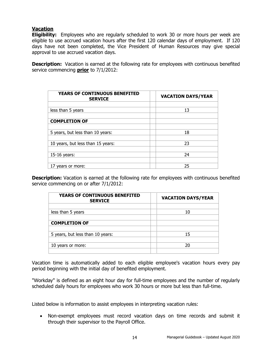# <span id="page-17-0"></span>**Vacation**

**Eligibility:** Employees who are regularly scheduled to work 30 or more hours per week are eligible to use accrued vacation hours after the first 120 calendar days of employment. If 120 days have not been completed, the Vice President of Human Resources may give special approval to use accrued vacation days.

**Description:** Vacation is earned at the following rate for employees with continuous benefited service commencing **prior** to 7/1/2012:

| YEARS OF CONTINUOUS BENEFITED<br><b>SERVICE</b> | <b>VACATION DAYS/YEAR</b> |
|-------------------------------------------------|---------------------------|
|                                                 |                           |
| less than 5 years                               | 13                        |
|                                                 |                           |
| <b>COMPLETION OF</b>                            |                           |
|                                                 |                           |
| 5 years, but less than 10 years:                | 18                        |
|                                                 |                           |
| 10 years, but less than 15 years:               | 23                        |
|                                                 |                           |
| 15-16 years:                                    | 24                        |
|                                                 |                           |
| 17 years or more:                               | 25                        |

**Description:** Vacation is earned at the following rate for employees with continuous benefited service commencing on or after 7/1/2012:

| <b>YEARS OF CONTINUOUS BENEFITED</b><br><b>SERVICE</b> | <b>VACATION DAYS/YEAR</b> |
|--------------------------------------------------------|---------------------------|
|                                                        |                           |
| less than 5 years                                      | 10                        |
|                                                        |                           |
| <b>COMPLETION OF</b>                                   |                           |
|                                                        |                           |
| 5 years, but less than 10 years:                       | 15                        |
|                                                        |                           |
| 10 years or more:                                      | 20                        |
|                                                        |                           |

Vacation time is automatically added to each eligible employee's vacation hours every pay period beginning with the initial day of benefited employment.

"Workday" is defined as an eight hour day for full-time employees and the number of regularly scheduled daily hours for employees who work 30 hours or more but less than full-time.

Listed below is information to assist employees in interpreting vacation rules:

• Non-exempt employees must record vacation days on time records and submit it through their supervisor to the Payroll Office.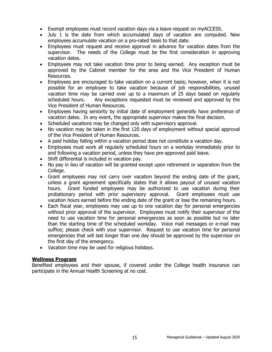- Exempt employees must record vacation days via a leave request on myACCESS.
- July 1 is the date from which accumulated days of vacation are computed. New employees accumulate vacation on a pro-rated basis to that date.
- Employees must request and receive approval in advance for vacation dates from the supervisor. The needs of the College must be the first consideration in approving vacation dates.
- Employees may not take vacation time prior to being earned. Any exception must be approved by the Cabinet member for the area and the Vice President of Human Resources.
- Employees are encouraged to take vacation on a current basis; however, when it is not possible for an employee to take vacation because of job responsibilities, unused vacation time may be carried over up to a maximum of 25 days based on regularly scheduled hours. Any exceptions requested must be reviewed and approved by the Vice President of Human Resources.
- Employees having seniority by initial date of employment generally have preference of vacation dates. In any event, the appropriate supervisor makes the final decision.
- Scheduled vacations may be changed only with supervisory approval.
- No vacation may be taken in the first 120 days of employment without special approval of the Vice President of Human Resources.
- A paid holiday falling within a vacation period does not constitute a vacation day.
- Employees must work all regularly scheduled hours on a workday immediately prior to and following a vacation period, unless they have pre-approved paid leave.
- Shift differential is included in vacation pay.
- No pay in lieu of vacation will be granted except upon retirement or separation from the College.
- Grant employees may not carry over vacation beyond the ending date of the grant, unless a grant agreement specifically states that it allows payout of unused vacation hours. Grant funded employees may be authorized to use vacation during their probationary period with prior supervisory approval. Grant employees must use vacation hours earned before the ending date of the grant or lose the remaining hours.
- Each fiscal year, employees may use up to one vacation day for personal emergencies without prior approval of the supervisor. Employees must notify their supervisor of the need to use vacation time for personal emergencies as soon as possible but no later than the starting time of the scheduled workday. Voice mail messages or e-mail may suffice; please check with your supervisor. Request to use vacation time for personal emergencies that will last longer than one day should be approved by the supervisor on the first day of the emergency.
- Vacation time may be used for religious holidays.

# <span id="page-18-0"></span>**Wellness Program**

Benefited employees and their spouse, if covered under the College health insurance can participate in the Annual Health Screening at no cost.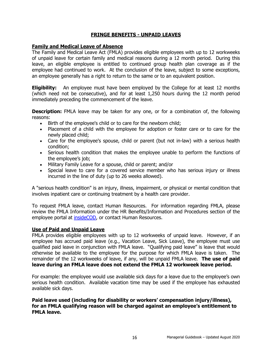# **FRINGE BENEFITS - UNPAID LEAVES**

# <span id="page-19-1"></span><span id="page-19-0"></span>**Family and Medical Leave of Absence**

The Family and Medical Leave Act (FMLA) provides eligible employees with up to 12 workweeks of unpaid leave for certain family and medical reasons during a 12 month period. During this leave, an eligible employee is entitled to continued group health plan coverage as if the employee had continued to work. At the conclusion of the leave, subject to some exceptions, an employee generally has a right to return to the same or to an equivalent position.

**Eligibility:** An employee must have been employed by the College for at least 12 months (which need not be consecutive), and for at least 1,250 hours during the 12 month period immediately preceding the commencement of the leave.

**Description:** FMLA leave may be taken for any one, or for a combination of, the following reasons:

- Birth of the employee's child or to care for the newborn child;
- Placement of a child with the employee for adoption or foster care or to care for the newly placed child;
- Care for the employee's spouse, child or parent (but not in-law) with a serious health condition;
- Serious health condition that makes the employee unable to perform the functions of the employee's job;
- Military Family Leave for a spouse, child or parent; and/or
- Special leave to care for a covered service member who has serious injury or illness incurred in the line of duty (up to 26 weeks allowed).

A "serious health condition" is an injury, illness, impairment, or physical or mental condition that involves inpatient care or continuing treatment by a health care provider.

To request FMLA leave, contact Human Resources. For information regarding FMLA, please review the FMLA Information under the HR Benefits/Information and Procedures section of the employee portal at [insideCOD,](https://inside.cod.edu/) or contact Human Resources.

#### <span id="page-19-2"></span>**Use of Paid and Unpaid Leave**

FMLA provides eligible employees with up to 12 workweeks of unpaid leave. However, if an employee has accrued paid leave (e.g., Vacation Leave, Sick Leave), the employee must use qualified paid leave in conjunction with FMLA leave. "Qualifying paid leave" is leave that would otherwise be available to the employee for the purpose for which FMLA leave is taken. The remainder of the 12 workweeks of leave, if any, will be unpaid FMLA leave. **The use of paid leave during an FMLA leave does not extend the FMLA 12 workweek leave period.**

For example: the employee would use available sick days for a leave due to the employee's own serious health condition. Available vacation time may be used if the employee has exhausted available sick days.

**Paid leave used (including for disability or workers' compensation injury/illness), for an FMLA qualifying reason will be charged against an employee's entitlement to FMLA leave.**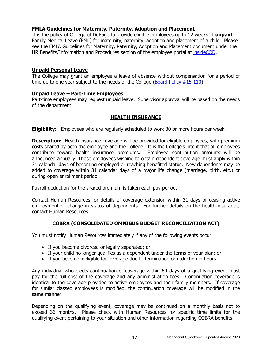# <span id="page-20-0"></span>**FMLA Guidelines for Maternity, Paternity, Adoption and Placement**

It is the policy of College of DuPage to provide eligible employees up to 12 weeks of **unpaid** Family Medical Leave (FML) for maternity, paternity, adoption and placement of a child. Please see the FMLA Guidelines for Maternity, Paternity, Adoption and Placement document under the HR Benefits/Information and Procedures section of the employee portal at [insideCOD.](https://inside.cod.edu/)

# <span id="page-20-1"></span>**Unpaid Personal Leave**

The College may grant an employee a leave of absence without compensation for a period of time up to one year subject to the needs of the College ( $\frac{\text{Board Policy #15-110}}{\text{Bolar}}$ ).

# <span id="page-20-2"></span>**Unpaid Leave – Part-Time Employees**

Part-time employees may request unpaid leave. Supervisor approval will be based on the needs of the department.

# **HEALTH INSURANCE**

<span id="page-20-3"></span>**Eligibility:** Employees who are regularly scheduled to work 30 or more hours per week.

**Description:** Health insurance coverage will be provided for eligible employees, with premium costs shared by both the employee and the College. It is the College's intent that all employees contribute toward health insurance premiums. Employee contribution amounts will be announced annually. Those employees wishing to obtain dependent coverage must apply within 31 calendar days of becoming employed or reaching benefited status. New dependents may be added to coverage within 31 calendar days of a major life change (marriage, birth, etc.) or during open enrollment period.

Payroll deduction for the shared premium is taken each pay period.

Contact Human Resources for details of coverage extension within 31 days of ceasing active employment or change in status of dependents. For further details on the health insurance, contact Human Resources.

# **COBRA (CONSOLIDATED OMNIBUS BUDGET RECONCILIATION ACT)**

<span id="page-20-4"></span>You must notify Human Resources immediately if any of the following events occur:

- If you become divorced or legally separated; or
- If your child no longer qualifies as a dependent under the terms of your plan; or
- If you become ineligible for coverage due to termination or reduction in hours.

Any individual who elects continuation of coverage within 60 days of a qualifying event must pay for the full cost of the coverage and any administration fees. Continuation coverage is identical to the coverage provided to active employees and their family members. If coverage for similar classed employees is modified, the continuation coverage will be modified in the same manner.

Depending on the qualifying event, coverage may be continued on a monthly basis not to exceed 36 months. Please check with Human Resources for specific time limits for the qualifying event pertaining to your situation and other information regarding COBRA benefits.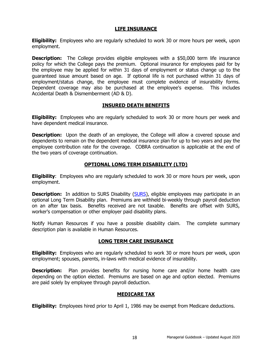# **LIFE INSURANCE**

<span id="page-21-0"></span>**Eligibility:** Employees who are regularly scheduled to work 30 or more hours per week, upon employment.

**Description:** The College provides eligible employees with a \$50,000 term life insurance policy for which the College pays the premium. Optional insurance for employees paid for by the employee may be applied for within 31 days of employment or status change up to the guaranteed issue amount based on age. If optional life is not purchased within 31 days of employment/status change, the employee must complete evidence of insurability forms. Dependent coverage may also be purchased at the employee's expense. This includes Accidental Death & Dismemberment (AD & D).

# **INSURED DEATH BENEFITS**

<span id="page-21-1"></span>**Eligibility:** Employees who are regularly scheduled to work 30 or more hours per week and have dependent medical insurance.

**Description:** Upon the death of an employee, the College will allow a covered spouse and dependents to remain on the dependent medical insurance plan for up to two years and pay the employee contribution rate for the coverage. COBRA continuation is applicable at the end of the two years of coverage continuation.

# **OPTIONAL LONG TERM DISABILITY (LTD)**

<span id="page-21-2"></span>**Eligibility**: Employees who are regularly scheduled to work 30 or more hours per week, upon employment.

**Description:** In addition to SURS Disability [\(SURS\)](http://www.surs.org/), eligible employees may participate in an optional Long Term Disability plan. Premiums are withheld bi-weekly through payroll deduction on an after tax basis. Benefits received are not taxable. Benefits are offset with SURS, worker's compensation or other employer paid disability plans.

Notify Human Resources if you have a possible disability claim. The complete summary description plan is available in Human Resources.

# **LONG TERM CARE INSURANCE**

<span id="page-21-3"></span>**Eligibility:** Employees who are regularly scheduled to work 30 or more hours per week, upon employment; spouses, parents, in-laws with medical evidence of insurability.

**Description:** Plan provides benefits for nursing home care and/or home health care depending on the option elected. Premiums are based on age and option elected. Premiums are paid solely by employee through payroll deduction.

# **MEDICARE TAX**

<span id="page-21-4"></span>**Eligibility:** Employees hired prior to April 1, 1986 may be exempt from Medicare deductions.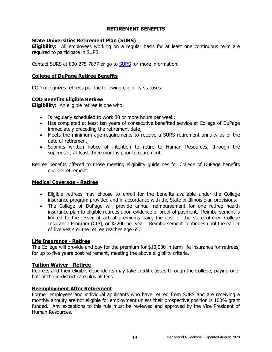# **RETIREMENT BENEFITS**

# <span id="page-22-1"></span><span id="page-22-0"></span>**State Universities Retirement Plan (SURS)**

**Eligibility:** All employees working on a regular basis for at least one continuous term are required to participate in SURS.

Contact SURS at 800-275-7877 or go to [SURS](http://www.surs.org/) for more information.

# <span id="page-22-2"></span>**College of DuPage Retiree Benefits**

COD recognizes retirees per the following eligibility statuses:

# **COD Benefits Eligible Retiree**

**Eligibility:** An eligible retiree is one who:

- Is regularly scheduled to work 30 or more hours per week;
- Has completed at least ten years of consecutive benefited service at College of DuPage immediately preceding the retirement date;
- Meets the minimum age requirements to receive a SURS retirement annuity as of the date of retirement;
- Submits written notice of intention to retire to Human Resources, through the supervisor, at least three months prior to retirement.

Retiree benefits offered to those meeting eligibility guidelines for College of DuPage benefits eligible retirement:

# <span id="page-22-3"></span>**Medical Coverage - Retiree**

- Eligible retirees may choose to enroll for the benefits available under the College insurance program provided and in accordance with the State of Illinois plan provisions.
- The College of DuPage will provide annual reimbursement for one retiree health insurance plan to eligible retirees upon evidence of proof of payment. Reimbursement is limited to the lesser of actual premiums paid, the cost of the state offered College Insurance Program (CIP), or \$2200 per year. Reimbursement continues until the earlier of five years or the retiree reaches age 65.

# <span id="page-22-4"></span>**Life Insurance - Retiree**

The College will provide and pay for the premium for \$10,000 in term life insurance for retirees, for up to five years post-retirement, meeting the above eligibility criteria.

# <span id="page-22-5"></span>**Tuition Waiver - Retiree**

Retirees and their eligible dependents may take credit classes through the College, paying onehalf of the in-district rate plus all fees.

# <span id="page-22-6"></span>**Reemployment After Retirement**

Former employees and individual applicants who have retired from SURS and are receiving a monthly annuity are not eligible for employment unless their prospective position is 100% grant funded. Any exceptions to this rule must be reviewed and approved by the Vice President of Human Resources.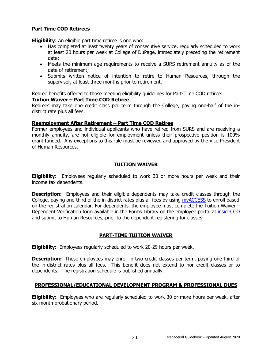# <span id="page-23-0"></span>**Part Time COD Retirees**

**Eligibility:** An eligible part time retiree is one who:

- Has completed at least twenty years of consecutive service, regularly scheduled to work at least 20 hours per week at College of DuPage, immediately preceding the retirement date;
- Meets the minimum age requirements to receive a SURS retirement annuity as of the date of retirement;
- Submits written notice of intention to retire to Human Resources, through the supervisor, at least three months prior to retirement.

Retiree benefits offered to those meeting eligibility guidelines for Part-Time COD retiree:

# <span id="page-23-1"></span>**Tuition Waiver – Part Time COD Retiree**

Retirees may take one credit class per term through the College, paying one-half of the indistrict rate plus all fees.

# <span id="page-23-2"></span>**Reemployment After Retirement – Part Time COD Retiree**

Former employees and individual applicants who have retired from SURS and are receiving a monthly annuity, are not eligible for employment unless their prospective position is 100% grant funded. Any exceptions to this rule must be reviewed and approved by the Vice President of Human Resources.

# **TUITION WAIVER**

<span id="page-23-3"></span>**Eligibility**: Employees regularly scheduled to work 30 or more hours per week and their income tax dependents.

**Description:** Employees and their eligible dependents may take credit classes through the College, paying one-third of the in-district rates plus all fees by using [myACCESS](http://myaccess.cod.edu/) to enroll based on the registration calendar. For dependents, the employee must complete the Tuition Waiver – Dependent Verification form available in the Forms Library on the employee portal at [insideCOD](http://inside.cod.edu/) and submit to Human Resources, prior to the dependent registering for classes.

# **PART-TIME TUITION WAIVER**

<span id="page-23-4"></span>**Eligibility:** Employees regularly scheduled to work 20-29 hours per week.

**Description:** These employees may enroll in two credit classes per term, paying one-third of the in-district rates plus all fees. This benefit does not extend to non-credit classes or to dependents. The registration schedule is published annually.

# <span id="page-23-5"></span>**PROFESSIONAL/EDUCATIONAL DEVELOPMENT PROGRAM & PROFESSIONAL DUES**

**Eligibility:** Employees who are regularly scheduled to work 30 or more hours per week, after six month probationary period.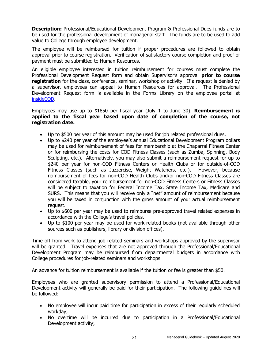**Description:** Professional/Educational Development Program & Professional Dues funds are to be used for the professional development of managerial staff. The funds are to be used to add value to College through employee development.

The employee will be reimbursed for tuition if proper procedures are followed to obtain approval prior to course registration. Verification of satisfactory course completion and proof of payment must be submitted to Human Resources.

An eligible employee interested in tuition reimbursement for courses must complete the Professional Development Request form and obtain Supervisor's approval **prior to course registration** for the class, conference, seminar, workshop or activity. If a request is denied by a supervisor, employees can appeal to Human Resources for approval. The Professional Development Request form is available in the Forms Library on the employee portal at [insideCOD.](http://inside.cod.edu/)

Employees may use up to \$1850 per fiscal year (July 1 to June 30). **Reimbursement is applied to the fiscal year based upon date of completion of the course, not registration date.**

- Up to \$500 per year of this amount may be used for job related professional dues.
- Up to \$240 per year of the employee's annual Educational Development Program dollars may be used for reimbursement of fees for membership at the Chaparral Fitness Center or for reimbursing the costs for COD Fitness Classes (such as Zumba, Spinning, Body Sculpting, etc.). Alternatively, you may also submit a reimbursement request for up to \$240 per year for non-COD Fitness Centers or Health Clubs or for outside-of-COD Fitness Classes (such as Jazzercise, Weight Watchers, etc.). However, because reimbursement of fees for non-COD Health Clubs and/or non-COD Fitness Classes are considered taxable, your reimbursement for non-COD Fitness Centers or Fitness Classes will be subject to taxation for Federal Income Tax, State Income Tax, Medicare and SURS. This means that you will receive only a "net" amount of reimbursement because you will be taxed in conjunction with the gross amount of your actual reimbursement request.
- Up to \$600 per year may be used to reimburse pre-approved travel related expenses in accordance with the College's travel policies.
- Up to \$100 per year may be used for work-related books (not available through other sources such as publishers, library or division offices).

Time off from work to attend job related seminars and workshops approved by the supervisor will be granted. Travel expenses that are not approved through the Professional/Educational Development Program may be reimbursed from departmental budgets in accordance with College procedures for job-related seminars and workshops.

An advance for tuition reimbursement is available if the tuition or fee is greater than \$50.

Employees who are granted supervisory permission to attend a Professional/Educational Development activity will generally be paid for their participation. The following guidelines will be followed:

- No employee will incur paid time for participation in excess of their regularly scheduled workday;
- No overtime will be incurred due to participation in a Professional/Educational Development activity;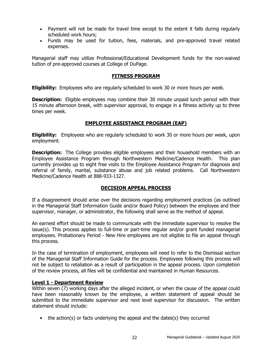- Payment will not be made for travel time except to the extent it falls during regularly scheduled work hours;
- Funds may be used for tuition, fees, materials, and pre-approved travel related expenses.

Managerial staff may utilize Professional/Educational Development funds for the non-waived tuition of pre-approved courses at College of DuPage.

# **FITNESS PROGRAM**

<span id="page-25-0"></span>**Eligibility:** Employees who are regularly scheduled to work 30 or more hours per week.

**Description:** Eligible employees may combine their 30 minute unpaid lunch period with their 15 minute afternoon break, with supervisor approval, to engage in a fitness activity up to three times per week.

# **EMPLOYEE ASSISTANCE PROGRAM (EAP)**

<span id="page-25-1"></span>**Eligibility:** Employees who are regularly scheduled to work 30 or more hours per week, upon employment.

**Description:** The College provides eligible employees and their household members with an Employee Assistance Program through Northwestern Medicine/Cadence Health. This plan currently provides up to eight free visits to the Employee Assistance Program for diagnosis and referral of family, marital, substance abuse and job related problems. Call Northwestern Medicine/Cadence Health at 888-933-1327.

# **DECISION APPEAL PROCESS**

<span id="page-25-2"></span>If a disagreement should arise over the decisions regarding employment practices (as outlined in the Managerial Staff Information Guide and/or Board Policy) between the employee and their supervisor, manager, or administrator, the following shall serve as the method of appeal.

An earnest effort should be made to communicate with the immediate supervisor to resolve the issue(s). This process applies to full-time or part-time regular and/or grant funded managerial employees. Probationary Period - New Hire employees are not eligible to file an appeal through this process.

In the case of termination of employment, employees will need to refer to the Dismissal section of the Managerial Staff Information Guide for the process. Employees following this process will not be subject to retaliation as a result of participation in the appeal process. Upon completion of the review process, all files will be confidential and maintained in Human Resources.

# <span id="page-25-3"></span>**Level 1 - Department Review**

Within seven (7) working days after the alleged incident, or when the cause of the appeal could have been reasonably known by the employee, a written statement of appeal should be submitted to the immediate supervisor and next level supervisor for discussion. The written statement should include:

• the action(s) or facts underlying the appeal and the dates(s) they occurred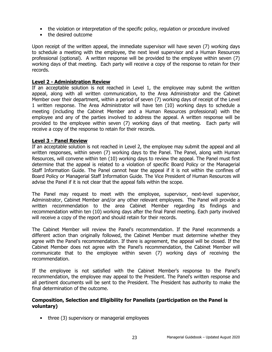- the violation or interpretation of the specific policy, regulation or procedure involved
- the desired outcome

Upon receipt of the written appeal, the immediate supervisor will have seven (7) working days to schedule a meeting with the employee, the next level supervisor and a Human Resources professional (optional). A written response will be provided to the employee within seven (7) working days of that meeting. Each party will receive a copy of the response to retain for their records.

# <span id="page-26-0"></span>**Level 2 - Administration Review**

If an acceptable solution is not reached in Level 1, the employee may submit the written appeal, along with all written communication, to the Area Administrator and the Cabinet Member over their department, within a period of seven (7) working days of receipt of the Level 1 written response. The Area Administrator will have ten (10) working days to schedule a meeting (including the Cabinet Member and a Human Resources professional) with the employee and any of the parties involved to address the appeal. A written response will be provided to the employee within seven (7) working days of that meeting. Each party will receive a copy of the response to retain for their records.

# <span id="page-26-1"></span>**Level 3 - Panel Review**

If an acceptable solution is not reached in Level 2, the employee may submit the appeal and all written responses, within seven (7) working days to the Panel. The Panel, along with Human Resources, will convene within ten (10) working days to review the appeal. The Panel must first determine that the appeal is related to a violation of specific Board Policy or the Managerial Staff Information Guide. The Panel cannot hear the appeal if it is not within the confines of Board Policy or Managerial Staff Information Guide. The Vice President of Human Resources will advise the Panel if it is not clear that the appeal falls within the scope.

The Panel may request to meet with the employee, supervisor, next-level supervisor, Administrator, Cabinet Member and/or any other relevant employees. The Panel will provide a written recommendation to the area Cabinet Member regarding its findings and recommendation within ten (10) working days after the final Panel meeting. Each party involved will receive a copy of the report and should retain for their records.

The Cabinet Member will review the Panel's recommendation. If the Panel recommends a different action than originally followed, the Cabinet Member must determine whether they agree with the Panel's recommendation. If there is agreement, the appeal will be closed. If the Cabinet Member does not agree with the Panel's recommendation, the Cabinet Member will communicate that to the employee within seven (7) working days of receiving the recommendation.

If the employee is not satisfied with the Cabinet Member's response to the Panel's recommendation, the employee may appeal to the President. The Panel's written response and all pertinent documents will be sent to the President. The President has authority to make the final determination of the outcome.

# **Composition, Selection and Eligibility for Panelists (participation on the Panel is voluntary)**

• three (3) supervisory or managerial employees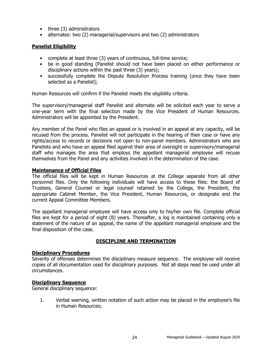- three (3) administrators
- alternates: two (2) managerial/supervisors and two (2) administrators

# <span id="page-27-0"></span>**Panelist Eligibility**

- complete at least three (3) years of continuous, full-time service;
- be in good standing (Panelist should not have been placed on either performance or disciplinary actions within the past three (3) years);
- successfully complete the Dispute Resolution Process training (once they have been selected as a Panelist);

Human Resources will confirm if the Panelist meets the eligibility criteria.

The supervisory/managerial staff Panelist and alternate will be solicited each year to serve a one-year term with the final selection made by the Vice President of Human Resources. Administrators will be appointed by the President.

Any member of the Panel who files an appeal or is involved in an appeal at any capacity, will be recused from the process. Panelist will not participate in the hearing of their case or have any rights/access to records or decisions not open to non-panel members. Administrators who are Panelists and who have an appeal filed against their area of oversight or supervisory/managerial staff who manages the area that employs the appellant managerial employee will recuse themselves from the Panel and any activities involved in the determination of the case.

# <span id="page-27-1"></span>**Maintenance of Official Files**

The official files will be kept in Human Resources at the College separate from all other personnel files. Only the following individuals will have access to these files: the Board of Trustees, General Counsel or legal counsel retained by the College, the President, the appropriate Cabinet Member, the Vice President, Human Resources, or designate and the current Appeal Committee Members.

The appellant managerial employee will have access only to his/her own file. Complete official files are kept for a period of eight (8) years. Thereafter, a log is maintained containing only a statement of the nature of an appeal, the name of the appellant managerial employee and the final disposition of the case.

# **DISCIPLINE AND TERMINATION**

# <span id="page-27-5"></span><span id="page-27-3"></span><span id="page-27-2"></span>**Disciplinary Procedures**

Severity of offenses determines the disciplinary measure sequence. The employee will receive copies of all documentation used for disciplinary purposes. Not all steps need be used under all circumstances.

# <span id="page-27-4"></span>**Disciplinary Sequence**

General disciplinary sequence:

1. Verbal warning, written notation of such action may be placed in the employee's file in Human Resources;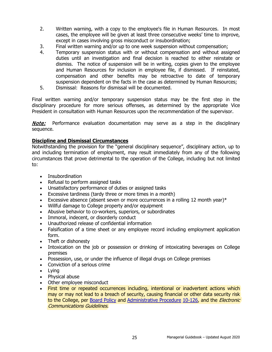- 2. Written warning, with a copy to the employee's file in Human Resources. In most cases, the employee will be given at least three consecutive weeks' time to improve, except in cases involving gross misconduct or insubordination;
- 3. Final written warning and/or up to one week suspension without compensation;
- 4. Temporary suspension status with or without compensation and without assigned duties until an investigation and final decision is reached to either reinstate or dismiss. The notice of suspension will be in writing, copies given to the employee and Human Resources for inclusion in employee file, if dismissed. If reinstated, compensation and other benefits may be retroactive to date of temporary suspension dependent on the facts in the case as determined by Human Resources;
- 5. Dismissal: Reasons for dismissal will be documented.

Final written warning and/or temporary suspension status may be the first step in the disciplinary procedure for more serious offenses, as determined by the appropriate Vice President in consultation with Human Resources upon the recommendation of the supervisor.

**Note:** Performance evaluation documentation may serve as a step in the disciplinary sequence.

# <span id="page-28-0"></span>**Discipline and Dismissal Circumstances**

Notwithstanding the provision for the "general disciplinary sequence", disciplinary action, up to and including termination of employment, may result immediately from any of the following circumstances that prove detrimental to the operation of the College, including but not limited to:

- Insubordination
- Refusal to perform assigned tasks
- Unsatisfactory performance of duties or assigned tasks
- Excessive tardiness (tardy three or more times in a month)
- Excessive absence (absent seven or more occurrences in a rolling 12 month year) $*$
- Willful damage to College property and/or equipment
- Abusive behavior to co-workers, superiors, or subordinates
- Immoral, indecent, or disorderly conduct
- Unauthorized release of confidential information
- Falsification of a time sheet or any employee record including employment application form.
- Theft or dishonesty
- Intoxication on the job or possession or drinking of intoxicating beverages on College premises
- Possession, use, or under the influence of illegal drugs on College premises
- Conviction of a serious crime
- Lying
- Physical abuse
- Other employee misconduct
- First time or repeated occurrences including, intentional or inadvertent actions which may or may not lead to a breach of security, causing financial or other data security risk to the College, per [Board Policy](http://www.cod.edu/about/board_of_trustees/pdf/board_policies.pdf) and [Administrative Procedure](https://inside.cod.edu/employees/Documents/AdministrativeProceduresManual.pdf) [10-126,](http://www.cod.edu/about/board_of_trustees/pdf/board_policies.pdf) and the *Electronic* Communications Guidelines.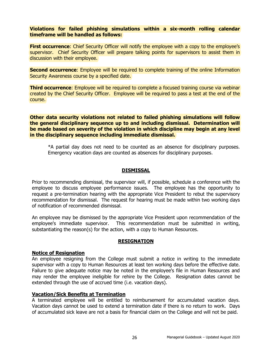#### **Violations for failed phishing simulations within a six-month rolling calendar timeframe will be handled as follows:**

**First occurrence:** Chief Security Officer will notify the employee with a copy to the employee's supervisor. Chief Security Officer will prepare talking points for supervisors to assist them in discussion with their employee.

**Second occurrence:** Employee will be required to complete training of the online Information Security Awareness course by a specified date.

**Third occurrence:** Employee will be required to complete a focused training course via webinar created by the Chief Security Officer. Employee will be required to pass a test at the end of the course.

**Other data security violations not related to failed phishing simulations will follow the general disciplinary sequence up to and including dismissal. Determination will be made based on severity of the violation in which discipline may begin at any level in the disciplinary sequence including immediate dismissal.**

\*A partial day does not need to be counted as an absence for disciplinary purposes. Emergency vacation days are counted as absences for disciplinary purposes.

# **DISMISSAL**

<span id="page-29-0"></span>Prior to recommending dismissal, the supervisor will, if possible, schedule a conference with the employee to discuss employee performance issues. The employee has the opportunity to request a pre-termination hearing with the appropriate Vice President to rebut the supervisory recommendation for dismissal. The request for hearing must be made within two working days of notification of recommended dismissal.

An employee may be dismissed by the appropriate Vice President upon recommendation of the employee's immediate supervisor. This recommendation must be submitted in writing, substantiating the reason(s) for the action, with a copy to Human Resources.

# **RESIGNATION**

#### <span id="page-29-2"></span><span id="page-29-1"></span>**Notice of Resignation**

An employee resigning from the College must submit a notice in writing to the immediate supervisor with a copy to Human Resources at least ten working days before the effective date. Failure to give adequate notice may be noted in the employee's file in Human Resources and may render the employee ineligible for rehire by the College. Resignation dates cannot be extended through the use of accrued time (i.e. vacation days).

#### <span id="page-29-3"></span>**Vacation/Sick Benefits at Termination**

A terminated employee will be entitled to reimbursement for accumulated vacation days. Vacation days cannot be used to extend a termination date if there is no return to work. Days of accumulated sick leave are not a basis for financial claim on the College and will not be paid.